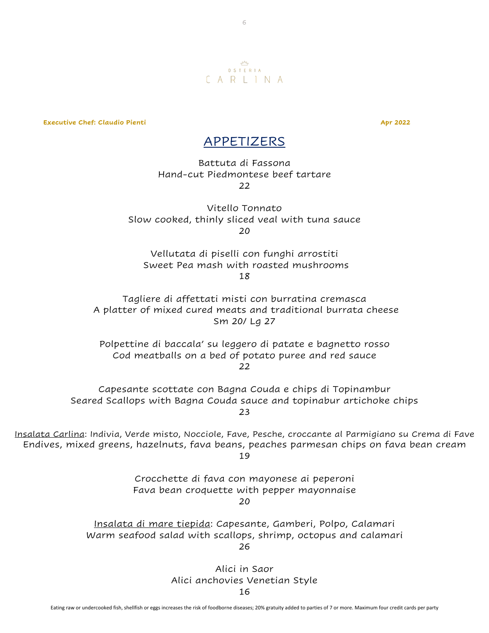

6

**Executive Chef: Claudio Pienti Apr 2022**

#### APPETIZERS

Battuta di Fassona Hand-cut Piedmontese beef tartare 22

Vitello Tonnato Slow cooked, thinly sliced veal with tuna sauce  $20$ 

Vellutata di piselli con funghi arrostiti Sweet Pea mash with roasted mushrooms 18

Tagliere di affettati misti con burratina cremasca A platter of mixed cured meats and traditional burrata cheese Sm 20/ Lg 27

Polpettine di baccala' su leggero di patate e bagnetto rosso Cod meatballs on a bed of potato puree and red sauce 22

Capesante scottate con Bagna Couda e chips di Topinambur Seared Scallops with Bagna Couda sauce and topinabur artichoke chips 23

Insalata Carlina: Indivia, Verde misto, Nocciole, Fave, Pesche, croccante al Parmigiano su Crema di Fave Endives, mixed greens, hazelnuts, fava beans, peaches parmesan chips on fava bean cream 19

> Crocchette di fava con mayonese ai peperoni Fava bean croquette with pepper mayonnaise 20

Insalata di mare tiepida: Capesante, Gamberi, Polpo, Calamari Warm seafood salad with scallops, shrimp, octopus and calamari 26

> Alici in Saor Alici anchovies Venetian Style

16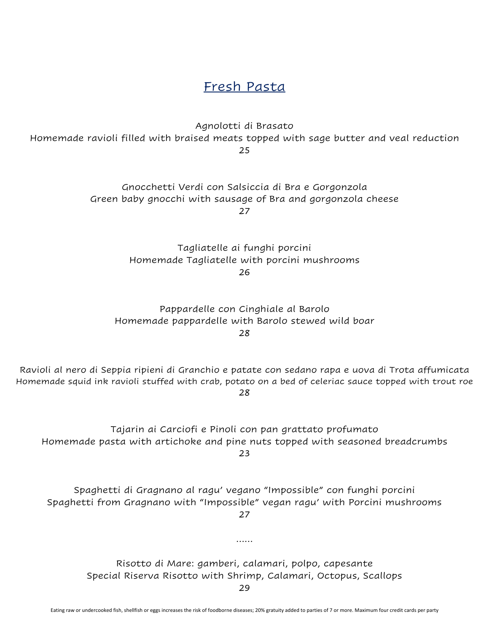Fresh Pasta

Agnolotti di Brasato Homemade ravioli filled with braised meats topped with sage butter and veal reduction 25

> Gnocchetti Verdi con Salsiccia di Bra e Gorgonzola Green baby gnocchi with sausage of Bra and gorgonzola cheese 27

> > Tagliatelle ai funghi porcini Homemade Tagliatelle with porcini mushrooms 26

Pappardelle con Cinghiale al Barolo Homemade pappardelle with Barolo stewed wild boar 28

Ravioli al nero di Seppia ripieni di Granchio e patate con sedano rapa e uova di Trota affumicata Homemade squid ink ravioli stuffed with crab, potato on a bed of celeriac sauce topped with trout roe 28

Tajarin ai Carciofi e Pinoli con pan grattato profumato Homemade pasta with artichoke and pine nuts topped with seasoned breadcrumbs 23

Spaghetti di Gragnano al ragu' vegano "Impossible" con funghi porcini Spaghetti from Gragnano with "Impossible" vegan ragu' with Porcini mushrooms 27

Risotto di Mare: gamberi, calamari, polpo, capesante Special Riserva Risotto with Shrimp, Calamari, Octopus, Scallops

……

29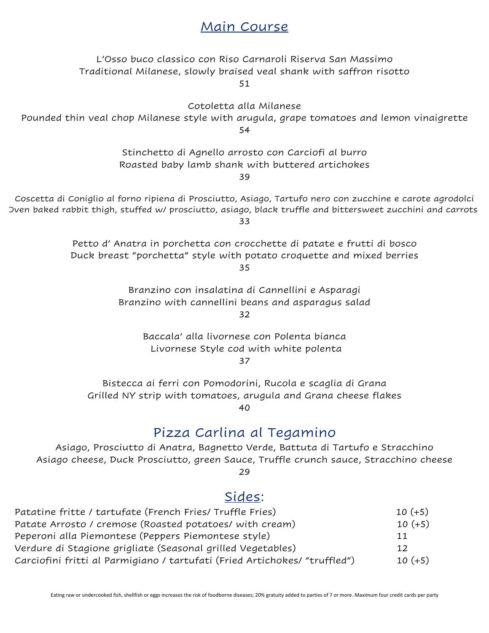## Main Course

L'Osso buco classico con Riso Carnaroli Riserva San Massimo Traditional Milanese, slowly braised veal shank with saffron risotto

51

Cotoletta alla Milanese

Pounded thin veal chop Milanese style with arugula, grape tomatoes and lemon vinaigrette 54

> Stinchetto di Agnello arrosto con Carciofi al burro Roasted baby lamb shank with buttered artichokes

39

Coscetta di Coniglio al forno ripiena di Prosciutto, Asiago, Tartufo nero con zucchine e carote agrodolci Oven baked rabbit thigh, stuffed w/ prosciutto, asiago, black truffle and bittersweet zucchini and carrots 33

> Petto d' Anatra in porchetta con crocchette di patate e frutti di bosco Duck breast "porchetta" style with potato croquette and mixed berries 35

Branzino con insalatina di Cannellini e Asparagi Branzino with cannellini beans and asparagus salad

32

Baccala' alla livornese con Polenta bianca Livornese Style cod with white polenta 37

Bistecca ai ferri con Pomodorini, Rucola e scaglia di Grana Grilled NY strip with tomatoes, arugula and Grana cheese flakes 40

### Pizza Carlina al Tegamino

Asiago, Prosciutto di Anatra, Bagnetto Verde, Battuta di Tartufo e Stracchino Asiago cheese, Duck Prosciutto, green Sauce, Truffle crunch sauce, Stracchino cheese 29

### Sides:

| Patatine fritte / tartufate (French Fries/ Truffle Fries)                  | $10 (+5)$ |
|----------------------------------------------------------------------------|-----------|
| Patate Arrosto / cremose (Roasted potatoes/ with cream)                    | $10 (+5)$ |
| Peperoni alla Piemontese (Peppers Piemontese style)                        | 11        |
| Verdure di Stagione grigliate (Seasonal grilled Vegetables)                | 12        |
| Carciofini fritti al Parmigiano / tartufati (Fried Artichokes/ "truffled") | $10 (+5)$ |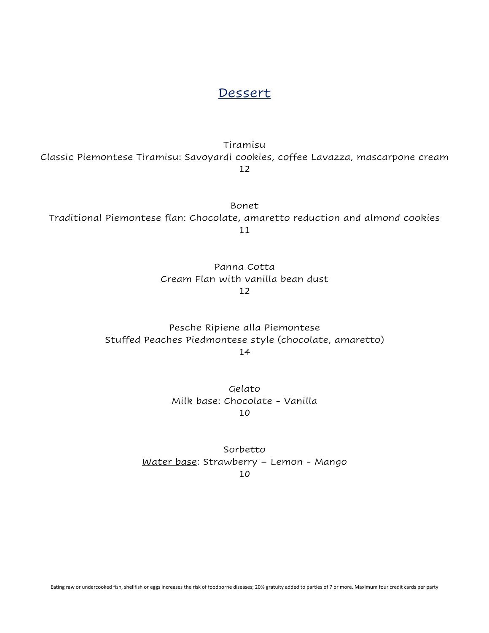#### Dessert

Tiramisu

Classic Piemontese Tiramisu: Savoyardi cookies, coffee Lavazza, mascarpone cream 12

Bonet Traditional Piemontese flan: Chocolate, amaretto reduction and almond cookies 11

> Panna Cotta Cream Flan with vanilla bean dust 12

Pesche Ripiene alla Piemontese Stuffed Peaches Piedmontese style (chocolate, amaretto) 14

> Gelato Milk base: Chocolate - Vanilla 10

Sorbetto Water base: Strawberry – Lemon - Mango 10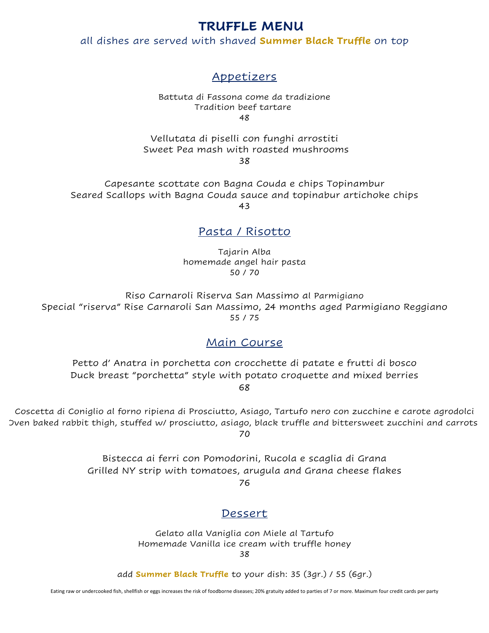#### **TRUFFLE MENU**

all dishes are served with shaved **Summer Black Truffle** on top

### Appetizers

Battuta di Fassona come da tradizione Tradition beef tartare 48

Vellutata di piselli con funghi arrostiti Sweet Pea mash with roasted mushrooms 38

Capesante scottate con Bagna Couda e chips Topinambur Seared Scallops with Bagna Couda sauce and topinabur artichoke chips 43

#### Pasta / Risotto

Tajarin Alba homemade angel hair pasta 50 / 70

Riso Carnaroli Riserva San Massimo al Parmigiano Special "riserva" Rise Carnaroli San Massimo, 24 months aged Parmigiano Reggiano 55 / 75

#### Main Course

Petto d' Anatra in porchetta con crocchette di patate e frutti di bosco Duck breast "porchetta" style with potato croquette and mixed berries 68

Coscetta di Coniglio al forno ripiena di Prosciutto, Asiago, Tartufo nero con zucchine e carote agrodolci Oven baked rabbit thigh, stuffed w/ prosciutto, asiago, black truffle and bittersweet zucchini and carrots 70

> Bistecca ai ferri con Pomodorini, Rucola e scaglia di Grana Grilled NY strip with tomatoes, arugula and Grana cheese flakes

> > 76

#### Dessert

Gelato alla Vaniglia con Miele al Tartufo Homemade Vanilla ice cream with truffle honey 38

add **Summer Black Truffle** to your dish: 35 (3gr.) / 55 (6gr.)

Eating raw or undercooked fish, shellfish or eggs increases the risk of foodborne diseases; 20% gratuity added to parties of 7 or more. Maximum four credit cards per party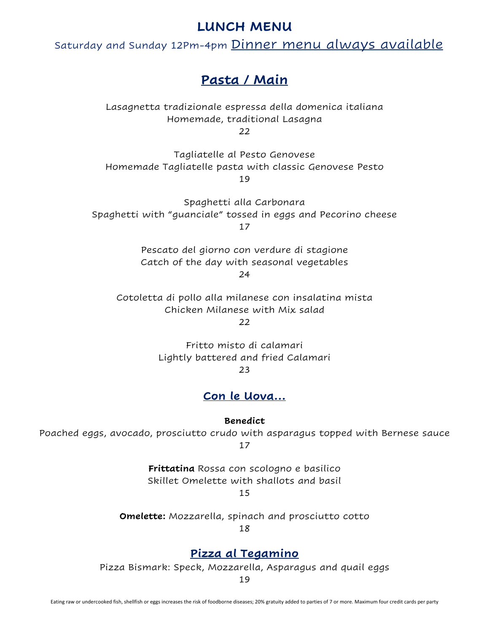### **LUNCH MENU**

Saturday and Sunday 12Pm-4pm Dinner menu always available

### **Pasta / Main**

Lasagnetta tradizionale espressa della domenica italiana Homemade, traditional Lasagna  $22$ 

Tagliatelle al Pesto Genovese Homemade Tagliatelle pasta with classic Genovese Pesto 19

Spaghetti alla Carbonara Spaghetti with "guanciale" tossed in eggs and Pecorino cheese 17

> Pescato del giorno con verdure di stagione Catch of the day with seasonal vegetables

24

Cotoletta di pollo alla milanese con insalatina mista Chicken Milanese with Mix salad  $22$ 

> Fritto misto di calamari Lightly battered and fried Calamari 23

#### **Con le Uova…**

**Benedict**

Poached eggs, avocado, prosciutto crudo with asparagus topped with Bernese sauce 17

> **Frittatina** Rossa con scologno e basilico Skillet Omelette with shallots and basil

15

**Omelette:** Mozzarella, spinach and prosciutto cotto

18

#### **Pizza al Tegamino**

Pizza Bismark: Speck, Mozzarella, Asparagus and quail eggs

19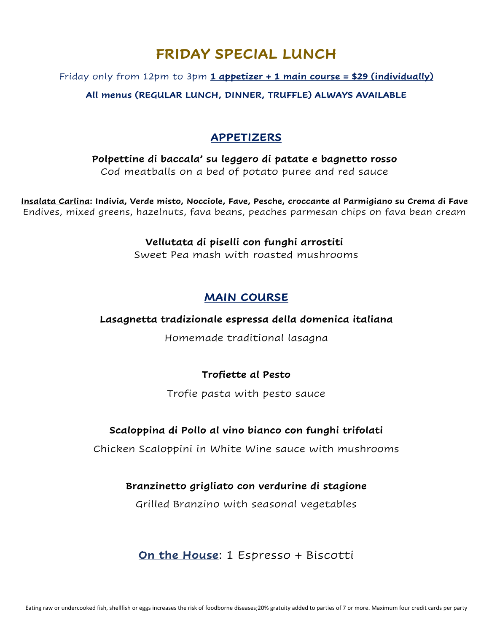# **FRIDAY SPECIAL LUNCH**

#### Friday only from 12pm to 3pm **1 appetizer + 1 main course = \$29 (individually)**

**All menus (REGULAR LUNCH, DINNER, TRUFFLE) ALWAYS AVAILABLE**

### **APPETIZERS**

**Polpettine di baccala' su leggero di patate e bagnetto rosso** Cod meatballs on a bed of potato puree and red sauce

**Insalata Carlina: Indivia, Verde misto, Nocciole, Fave, Pesche, croccante al Parmigiano su Crema di Fave** Endives, mixed greens, hazelnuts, fava beans, peaches parmesan chips on fava bean cream

#### **Vellutata di piselli con funghi arrostiti**

Sweet Pea mash with roasted mushrooms

#### **MAIN COURSE**

#### **Lasagnetta tradizionale espressa della domenica italiana**

Homemade traditional lasagna

#### **Trofiette al Pesto**

Trofie pasta with pesto sauce

#### **Scaloppina di Pollo al vino bianco con funghi trifolati**

Chicken Scaloppini in White Wine sauce with mushrooms

#### **Branzinetto grigliato con verdurine di stagione**

Grilled Branzino with seasonal vegetables

### **On the House**: 1 Espresso + Biscotti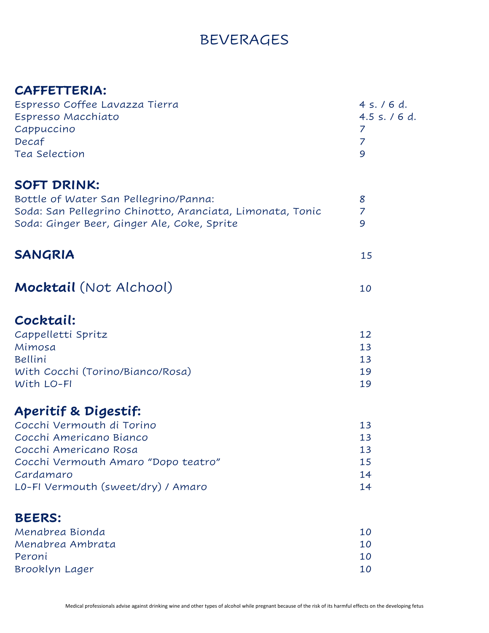# BEVERAGES

# **CAFFETTERIA:**

| Espresso Coffee Lavazza Tierra<br>Espresso Macchiato<br>Cappuccino<br>Decaf<br>Tea Selection                                                                                                               | 4 s. / 6 d.<br>4.5 s. / 6 d.<br>7<br>$\overline{7}$<br>9 |
|------------------------------------------------------------------------------------------------------------------------------------------------------------------------------------------------------------|----------------------------------------------------------|
| <b>SOFT DRINK:</b><br>Bottle of Water San Pellegrino/Panna:<br>Soda: San Pellegrino Chinotto, Aranciata, Limonata, Tonic<br>Soda: Ginger Beer, Ginger Ale, Coke, Sprite                                    | 8<br>$\overline{7}$<br>9                                 |
| <b>SANGRIA</b>                                                                                                                                                                                             | 15                                                       |
| Mocktail (Not Alchool)                                                                                                                                                                                     | 10                                                       |
| Cocktail:<br>Cappelletti Spritz<br>Mimosa<br>Bellini<br>With Cocchi (Torino/Bianco/Rosa)<br>With LO-FI                                                                                                     | 12<br>13<br>13<br>19<br>19                               |
| <b>Aperitif &amp; Digestif:</b><br>Cocchi Vermouth di Torino<br>Cocchi Americano Bianco<br>Cocchi Americano Rosa<br>Cocchi Vermouth Amaro "Dopo teatro"<br>Cardamaro<br>L0-FI Vermouth (sweet/dry) / Amaro | 13<br>13<br>13<br>15<br>14<br>14                         |
| <b>BEERS:</b><br>Menabrea Bionda<br>Menabrea Ambrata<br>Peroni<br>Brooklyn Lager                                                                                                                           | 10<br>10<br>10<br>10                                     |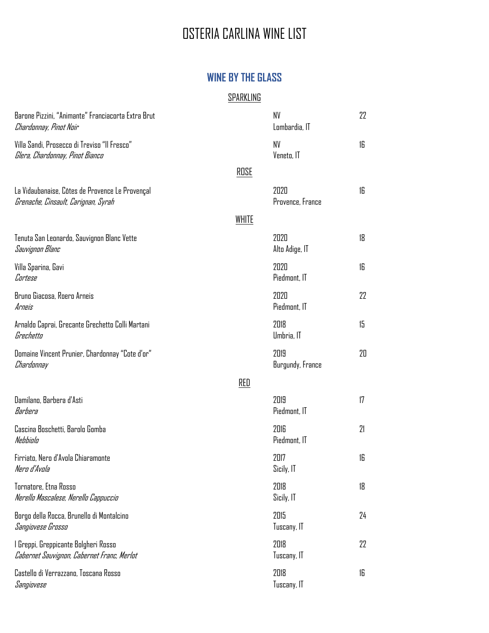# OSTERIA CARLINA WINE LIST

### **WINE BY THE GLASS**

#### **SPARKLING**

| Barone Pizzini, "Animante" Franciacorta Extra Brut<br>Chardonnay, Pinot Noir           |       | NV<br>Lombardia, IT      | 22 |
|----------------------------------------------------------------------------------------|-------|--------------------------|----|
| Villa Sandi, Prosecco di Treviso "Il Fresco"<br>Glera, Chardonnay, Pinot Bianco        |       | <b>NV</b><br>Veneto, IT  | 16 |
|                                                                                        | ROSE  |                          |    |
| La Vidaubanaise, Côtes de Provence Le Provençal<br>Grenache, Cinsault, Carignan, Syrah |       | 2020<br>Provence, France | 16 |
|                                                                                        | WHITE |                          |    |
| Tenuta San Leonardo, Sauvignon Blanc Vette<br>Sauvignon Blanc                          |       | 2020<br>Alto Adige, IT   | 18 |
| Villa Sparina, Gavi<br>Cortese                                                         |       | 2020<br>Piedmont, IT     | 16 |
| Bruno Giacosa, Roero Arneis<br>Arneis                                                  |       | 2020<br>Piedmont, IT     | 22 |
| Arnaldo Caprai, Grecante Grechetto Colli Martani<br>Grechetto                          |       | 2018<br>Umbria, IT       | 15 |
| Domaine Vincent Prunier, Chardonnay "Cote d'or"<br>Chardonnay                          |       | 2019<br>Burgundy, France | 20 |
|                                                                                        | RED   |                          |    |
| Damilano, Barbera d'Asti<br>Barbera                                                    |       | 2019<br>Piedmont, IT     | 17 |
| Cascina Boschetti, Barolo Gomba<br>Nebbiolo                                            |       | 2016<br>Piedmont, IT     | 21 |
| Firriato, Nero d'Avola Chiaramonte<br>Nero d'Avola                                     |       | 2017<br>Sicily, IT       | 16 |
| Tornatore, Etna Rosso<br>Nerello Mascalese, Nerello Cappuccio                          |       | 2018<br>Sicily, IT       | 18 |
| Borgo della Rocca, Brunello di Montalcino<br>Sangiovese Grosso                         |       | 2015<br>Tuscany, IT      | 24 |
| l Greppi, Greppicante Bolgheri Rosso<br>Cabernet Sauvignon, Cabernet Franc, Merlot     |       | 2018<br>Tuscany, IT      | 22 |
| Castello di Verrazzano, Toscana Rosso<br>Sangiovese                                    |       | 2018<br>Tuscany, IT      | 16 |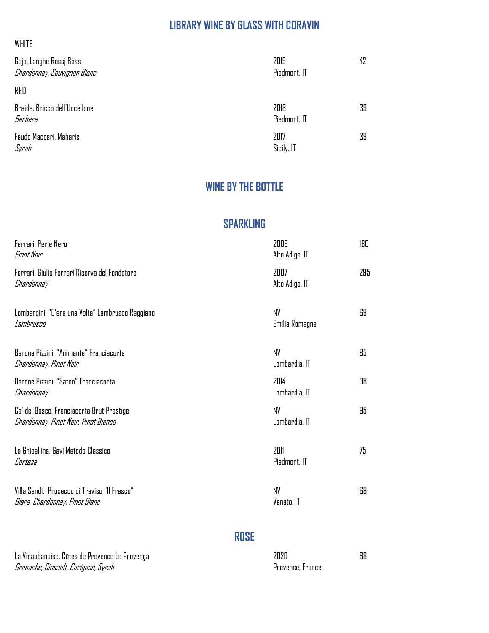# **LIBRARY WINE BY GLASS WITH CORAVIN**

| Gaja, Langhe Rossj Bass<br>Chardonnay, Sauvignon Blanc | 2019<br>Piedmont, IT | 42 |
|--------------------------------------------------------|----------------------|----|
| RED                                                    |                      |    |
| Braida, Bricco dell'Uccellone<br>Barbera               | 2018<br>Piedmont, IT | 39 |
| Feudo Maccari, Maharis<br>Syrah                        | 2017<br>Sicily, IT   | 39 |

### **WINE BY THE BOTTLE**

### **SPARKLING**

| Ferrari, Perle Nero<br>Pinat Nair                                                 | 2009<br>Alto Adige, IT | 180 |
|-----------------------------------------------------------------------------------|------------------------|-----|
| Ferrari, Giulio Ferrari Riserva del Fondatore<br>Chardonnay                       | 2007<br>Alto Adige, IT | 295 |
| Lombardini, "C'era una Volta" Lambrusco Reggiano<br>Lambrusco                     | NV<br>Emilia Romagna   | 69  |
| Barone Pizzini, "Animante" Franciacorta<br>Chardonnay, Pinot Noir                 | NV<br>Lombardia, IT    | 85  |
| Barone Pizzini, "Saten" Franciacorta<br>Chardonnay                                | 2014<br>Lombardia, IT  | 98  |
| Ca' del Bosco, Franciacorta Brut Prestige<br>Chardonnay, Pinot Noir, Pinot Bianco | NV<br>Lombardia, IT    | 95  |
| La Ghibellina, Gavi Metodo Classico<br>Cortese                                    | 2011<br>Piedmont, IT   | 75  |
| Villa Sandi, Prosecco di Treviso "Il Fresco"<br>Glera, Chardonnay, Pinot Blanc    | NV<br>Veneto, IT       | 68  |

### **ROSE**

| La Vidaubanaise, Côtes de Provence Le Provençal | 2020             | 68 |
|-------------------------------------------------|------------------|----|
| Grenache, Cinsault, Carignan, Syrah             | Provence, France |    |

WHITE

| חלחל             |  |
|------------------|--|
| Provence, France |  |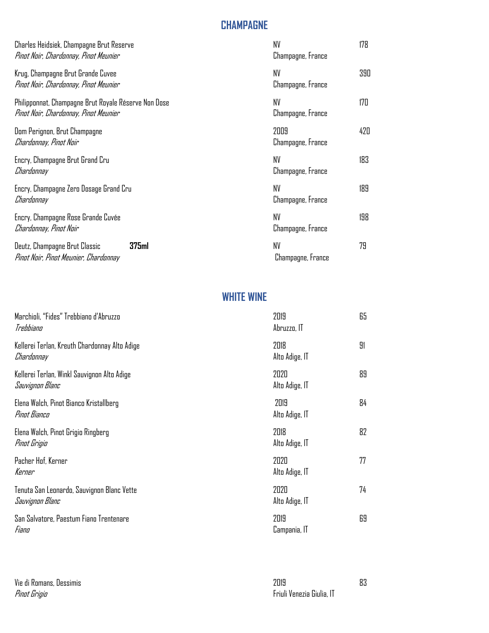### **CHAMPAGNE**

| Charles Heidsiek, Champagne Brut Reserve<br>Pinot Noir, Chardonnay, Pinot Meunier             | NV<br>Champagne, France   | 178 |
|-----------------------------------------------------------------------------------------------|---------------------------|-----|
| Krug, Champagne Brut Grande Cuvee<br>Pinot Noir, Chardonnay, Pinot Meunier                    | NV<br>Champagne, France   | 390 |
| Philipponnat, Champagne Brut Royale Réserve Non Dose<br>Pinot Noir, Chardonnay, Pinot Meunier | NV<br>Champagne, France   | 170 |
| Dom Perignon, Brut Champagne<br>Chardonnay, Pinot Noir                                        | 2009<br>Champagne, France | 420 |
| Encry, Champagne Brut Grand Cru<br>Chardonnay                                                 | NV<br>Champagne, France   | 183 |
| Encry, Champagne Zero Dosage Grand Cru<br>Chardonnay                                          | NV<br>Champagne, France   | 189 |
| Encry, Champagne Rose Grande Cuvée<br>Chardonnay, Pinot Noir                                  | NV<br>Champagne, France   | 198 |
| 375 <sub>ml</sub><br>Deutz, Champagne Brut Classic<br>Pinot Noir, Pinot Meunier, Chardonnay   | NV<br>Champagne, France   | 79  |

### **WHITE WINE**

| Marchioli, "Fides" Trebbiano d'Abruzzo<br>Trebbiano            | 2019<br>Abruzzo, IT    | 65 |
|----------------------------------------------------------------|------------------------|----|
| Kellerei Terlan, Kreuth Chardonnay Alto Adige<br>Chardonnay    | 2018<br>Alto Adige, IT | 91 |
| Kellerei Terlan, Winkl Sauvignon Alto Adige<br>Sauvignon Blanc | 2020<br>Alto Adige, IT | 89 |
| Elena Walch, Pinot Bianco Kristallberg<br>Pinot Bianco         | 2019<br>Alto Adige, IT | 84 |
| Elena Walch, Pinot Grigio Ringberg<br>Pinat Grigia             | 2018<br>Alto Adige, IT | 82 |
| Pacher Hof, Kerner<br>Kerner                                   | 2020<br>Alto Adige, IT | 77 |
| Tenuta San Leonardo, Sauvignon Blanc Vette<br>Sauvignon Blanc  | 2020<br>Alto Adige, IT | 74 |
| San Salvatore, Paestum Fiano Trentenare<br>Fiano               | 2019<br>Campania, IT   | 69 |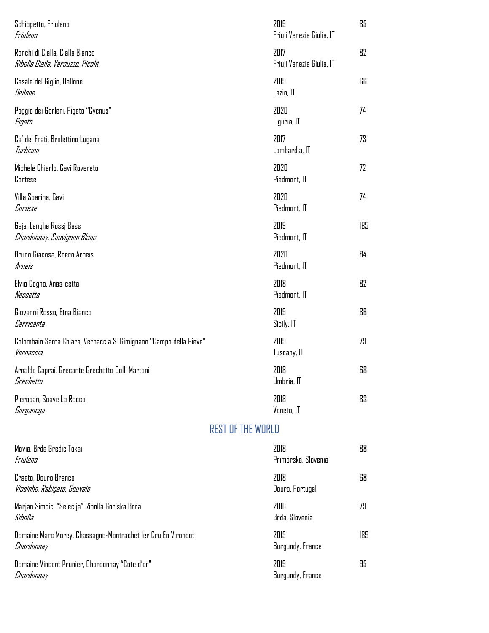| Schiopetto, Friulano<br>Friulano                                                |                          | 2019<br>Friuli Venezia Giulia, IT | 85  |
|---------------------------------------------------------------------------------|--------------------------|-----------------------------------|-----|
| Ronchi di Cialla, Cialla Bianco<br>Ribolla Gialla, Verduzzo, Picolit            |                          | 2017<br>Friuli Venezia Giulia. IT | 82  |
| Casale del Giglio, Bellone<br>Bellane                                           |                          | 2019<br>Lazio, IT                 | 66  |
| Poggio dei Gorleri, Pigato "Cycnus"<br>Pigato                                   |                          | 2020<br>Liguria, IT               | 74  |
| Ca' dei Frati, Brolettino Lugana<br>Turbiana                                    |                          | 2017<br>Lombardia, IT             | 73  |
| Michele Chiarlo, Gavi Rovereto<br>Cortese                                       |                          | 2020<br>Piedmont, IT              | 72  |
| Villa Sparina, Gavi<br>Cortese                                                  |                          | 2020<br>Piedmont, IT              | 74  |
| Gaja, Langhe Rossi Bass<br>Chardonnay, Sauvignon Blanc                          |                          | 2019<br>Piedmont, IT              | 185 |
| Bruno Giacosa, Roero Arneis<br>Arneis                                           |                          | 2020<br>Piedmont, IT              | 84  |
| Elvio Cogno, Anas-cetta<br>Nascetta                                             |                          | 2018<br>Piedmont, IT              | 82  |
| Giovanni Rosso, Etna Bianco<br>Carricante                                       |                          | 2019<br>Sicily, IT                | 86  |
| Colombaio Santa Chiara, Vernaccia S. Gimignano "Campo della Pieve"<br>Vernaccia |                          | 2019<br>Tuscany, IT               | 79  |
| Arnaldo Caprai, Grecante Grechetto Colli Martani<br>Grechetto                   |                          | 2018<br>Umbria, IT                | 68  |
| Pieropan, Soave La Rocca<br>Garganega                                           |                          | 2018<br>Veneto, IT                | 83  |
|                                                                                 | <b>REST OF THE WORLD</b> |                                   |     |
| Movia, Brda Gredic Tokai<br>Friulano                                            |                          | 2018<br>Primorska, Slovenia       | 88  |
| Crasto, Douro Branco<br>Viosinho, Rabigato, Gouveio                             |                          | 2018<br>Douro, Portugal           | 68  |
| Marjan Simcic, "Selecija" Ribolla Goriska Brda<br>Ribolla                       |                          | 2016<br>Brda, Slovenia            | 79  |
| Domaine Marc Morey, Chassagne-Montrachet 1er Cru En Virondot<br>Chardonnay      |                          | 2015<br>Burgundy, France          | 189 |
| Domaine Vincent Prunier, Chardonnay "Cote d'or"<br>Chardonnay                   |                          | 2019<br>Burgundy, France          | 95  |
|                                                                                 |                          |                                   |     |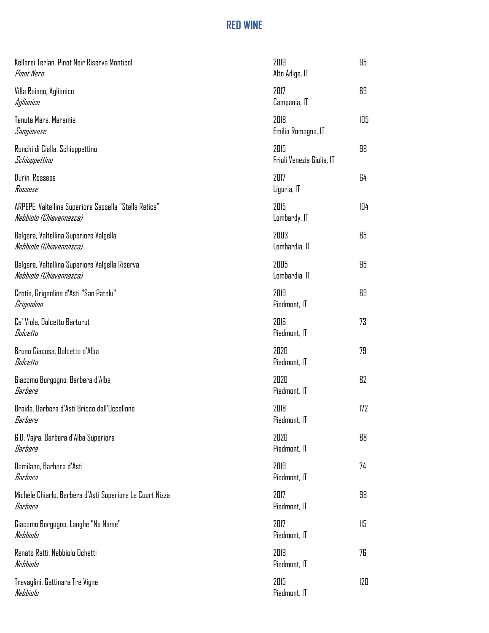# **RED WINE**

| Kellerei Terlan, Pinot Noir Riserva Monticol<br>Pinot Nero                       | 2019<br>Alto Adige, IT            | 95  |
|----------------------------------------------------------------------------------|-----------------------------------|-----|
| Villa Raiano, Aglianico<br>Aglianico                                             | 2017<br>Campania, IT              | 69  |
| Tenuta Mara, Maramia<br>Sangiovese                                               | 2018<br>Emilia Romagna, IT        | 105 |
| Ronchi di Cialla, Schioppettino<br>Schioppettino                                 | 2015<br>Friuli Venezia Giulia, IT | 98  |
| Durin, Rossese<br>Rossese                                                        | 2017<br>Liguria, IT               | 64  |
| ARPEPE, Valtellina Superiore Sassella "Stella Retica"<br>Nebbiolo (Chiavennasca) | 2015<br>Lombardy, IT              | 104 |
| Balgera, Valtellina Superiore Valgella<br>Nebbiolo (Chiavennasca)                | 2003<br>Lombardia, IT             | 85  |
| Balgera, Valtellina Superiore Valgella Riserva<br>Nebbiolo (Chiavennasca)        | 2005<br>Lombardia, IT             | 95  |
| Crotin, Grignolino d'Asti "San Patelu"<br>Grignolino                             | 2019<br>Piedmont, IT              | 69  |
| Ca' Viola, Dolcetto Barturot<br>Dolcetto                                         | 2016<br>Piedmont, IT              | 73  |
| Bruno Giacosa, Dolcetto d'Alba<br>Dolcetto                                       | 2020<br>Piedmont, IT              | 79  |
| Giacomo Borgogno, Barbera d'Alba<br>Barbera                                      | 2020<br>Piedmont, IT              | 82  |
| Braida, Barbera d'Asti Bricco dell'Uccellone<br>Barbera                          | 2018<br>Piedmont, IT              | 172 |
| G.D. Vajra, Barbera d'Alba Superiore<br>Barbera                                  | 2020<br>Piedmont, IT              | 88  |
| Damilano, Barbera d'Asti<br>Barbera                                              | 2019<br>Piedmont, IT              | 74  |
| Michele Chiarlo, Barbera d'Asti Superiore La Court Nizza<br>Barbera              | 2017<br>Piedmont, IT              | 98  |
| Giacomo Borgogno, Langhe "No Name"<br>Nebbiala                                   | 2017<br>Piedmont, IT              | 115 |
| Renato Ratti, Nebbiolo Ochetti<br>Nebbiala                                       | 2019<br>Piedmont, IT              | 76  |
| Travaglini, Gattinara Tre Vigne<br>Nebbiolo                                      | 2015<br>Piedmont, IT              | 120 |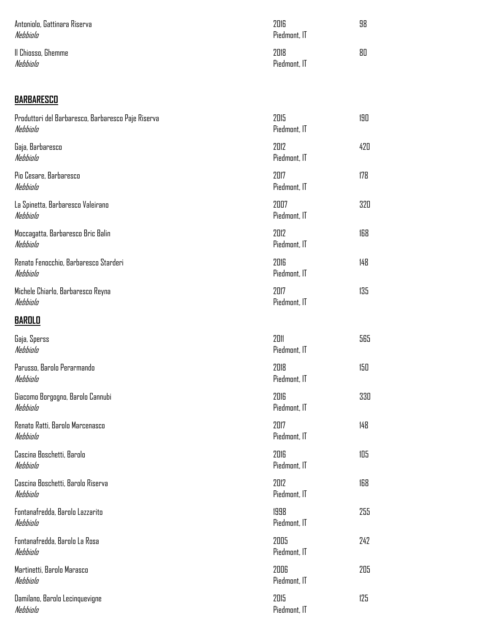| Antoniolo, Gattinara Riserva<br>Nebbiola | 2016<br>Piedmont, IT | 98 |
|------------------------------------------|----------------------|----|
| Il Chiosso, Ghemme<br>Nebbiala           | 2018<br>Piedmont, IT | 80 |

# **BARBARESCO**

| Produttori del Barbaresco, Barbaresco Paje Riserva<br>Nebbiolo | 2015<br>Piedmont, IT | 190 |
|----------------------------------------------------------------|----------------------|-----|
| Gaja, Barbaresco<br>Nebbiolo                                   | 2012<br>Piedmont, IT | 420 |
| Pio Cesare, Barbaresco<br>Nebbiolo                             | 2017<br>Piedmont, IT | 178 |
| La Spinetta, Barbaresco Valeirano<br>Nebbiolo                  | 2007<br>Piedmont, IT | 320 |
| Moccagatta, Barbaresco Bric Balin<br>Nebbiolo                  | 2012<br>Piedmont, IT | 168 |
| Renato Fenocchio, Barbaresco Starderi<br>Nebbiolo              | 2016<br>Piedmont, IT | 148 |
| Michele Chiarlo, Barbaresco Reyna<br>Nebbiolo                  | 2017<br>Piedmont, IT | 135 |
| <b>BAROLO</b>                                                  |                      |     |
| Gaja, Sperss<br>Nebbiolo                                       | 2011<br>Piedmont, IT | 565 |
| Parusso, Barolo Perarmando<br>Nebbiolo                         | 2018<br>Piedmont, IT | 150 |
| Giacomo Borgogno, Barolo Cannubi<br>Nebbiolo                   | 2016<br>Piedmont, IT | 330 |
| Renato Ratti, Barolo Marcenasco<br>Nebbiolo                    | 2017<br>Piedmont, IT | 148 |
| Cascina Boschetti, Barolo<br>Nebbiolo                          | 2016<br>Piedmont, IT | 105 |
| Cascina Boschetti, Barolo Riserva<br>Nebbiolo                  | 2012<br>Piedmont, IT | 168 |
| Fontanafredda, Barolo Lazzarito<br>Nebbiolo                    | 1998<br>Piedmont, IT | 255 |
| Fontanafredda, Barolo La Rosa<br>Nebbiolo                      | 2005<br>Piedmont, IT | 242 |
| Martinetti, Barolo Marasco<br>Nebbiolo                         | 2006<br>Piedmont, IT | 205 |
| Damilano, Barolo Lecinquevigne<br>Nebbiala                     | 2015<br>Piedmont, IT | 125 |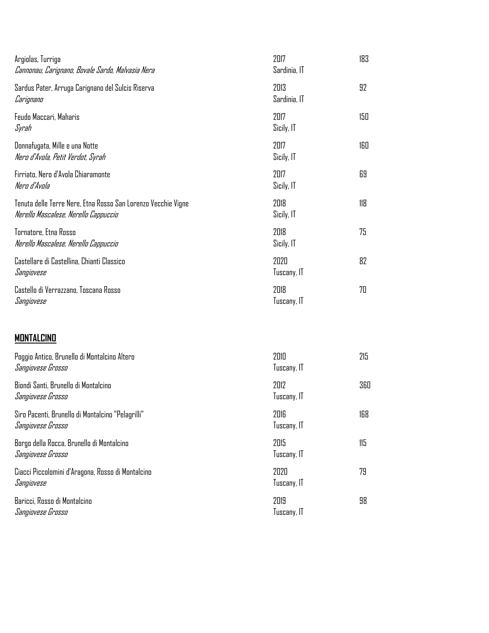| Argiolas, Turriga<br>Cannonau, Carignano, Bovale Sardo, Malvasia Nera                                 | 2017<br>Sardinia, IT | 183 |
|-------------------------------------------------------------------------------------------------------|----------------------|-----|
| Sardus Pater, Arruga Carignano del Sulcis Riserva<br>Carignano                                        | 2013<br>Sardinia, IT | 92  |
| Feudo Maccari, Maharis<br>Syrah                                                                       | 2017<br>Sicily, IT   | 150 |
| Donnafugata, Mille e una Notte<br>Nero d'Avola, Petit Verdot, Syrah                                   | 2017<br>Sicily, IT   | 160 |
| Firriato, Nero d'Avola Chiaramonte<br>Nero d'Avola                                                    | 2017<br>Sicily, IT   | 69  |
| Tenuta delle Terre Nere, Etna Rosso San Lorenzo Vecchie Vigne<br>Nerello Mascalese, Nerello Cappuccio | 2018<br>Sicily, IT   | 118 |
| Tornatore, Etna Rosso<br>Nerello Mascalese, Nerello Cappuccio                                         | 2018<br>Sicily, IT   | 75  |
| Castellare di Castellina, Chianti Classico<br>Sangiovese                                              | 2020<br>Tuscany, IT  | 82  |
| Castello di Verrazzano, Toscana Rosso<br>Sangiovese                                                   | 2018<br>Tuscany, IT  | 70  |
| Montalcino                                                                                            |                      |     |
| Poggio Antico, Brunello di Montalcino Altero<br>Sangiovese Grosso                                     | 2010<br>Tuscany, IT  | 215 |
| Biondi Santi, Brunello di Montalcino<br>Sangiovese Grosso                                             | 2012<br>Tuscany, IT  | 360 |
| Siro Pacenti, Brunello di Montalcino "Pelagrilli"<br>Sangiovese Grosso                                | 2016<br>Tuscany, IT  | 168 |
| Borgo della Rocca, Brunello di Montalcino<br>Sangiovese Grosso                                        | 2015<br>Tuscany, IT  | 115 |
| <b>0.</b> 1. 1. 11.<br>$\blacksquare$                                                                 | nnnn                 | 70. |

*Sangiovese Grosso* Tuscany, IT کار این مقابل از این مقابل از این مقابل از این مقابل از این مقابل از این مقابل از ا

Ciacci Piccolomini d'Aragona, Rosso di Montalcino 2020 79 Tuscany, IT Baricci, Rosso di Montalcino 2019 98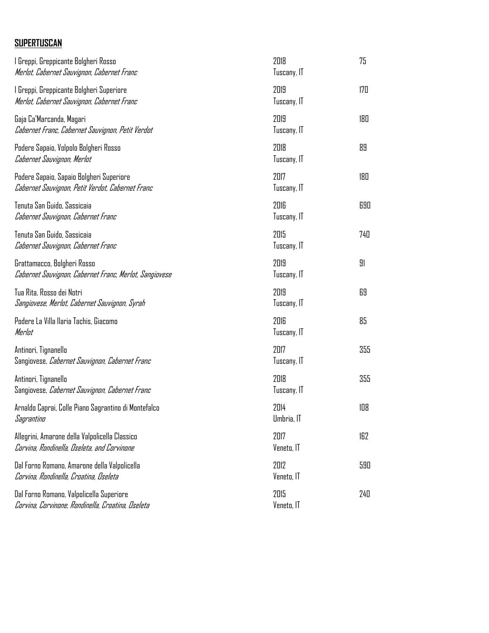### **SUPERTUSCAN**

| l Greppi, Greppicante Bolgheri Rosso<br>Merlot, Cabernet Sauvignon, Cabernet Franc            | 2018<br>Tuscany, IT | 75  |
|-----------------------------------------------------------------------------------------------|---------------------|-----|
| l Greppi, Greppicante Bolgheri Superiore<br>Merlot, Cabernet Sauvignon, Cabernet Franc        | 2019<br>Tuscany, IT | 170 |
| Gaja Ca'Marcanda, Magari<br>Cabernet Franc, Cabernet Sauvignon, Petit Verdot                  | 2019<br>Tuscany, IT | 180 |
| Podere Sapaio, Volpolo Bolgheri Rosso<br>Cabernet Sauvignon, Merlot                           | 2018<br>Tuscany, IT | 89  |
| Podere Sapaio, Sapaio Bolgheri Superiore<br>Cabernet Sauvignon, Petit Verdot, Cabernet Franc  | 2017<br>Tuscany, IT | 180 |
| Tenuta San Guido, Sassicaia<br>Cabernet Sauvignon, Cabernet Franc                             | 2016<br>Tuscany, IT | 690 |
| Tenuta San Guido, Sassicaia<br>Cabernet Sauvignon, Cabernet Franc                             | 2015<br>Tuscany, IT | 740 |
| Grattamacco, Bolgheri Rosso<br>Cabernet Sauvignon, Cabernet Franc, Merlot, Sangiovese         | 2019<br>Tuscany, IT | 91  |
| Tua Rita, Rosso dei Notri<br>Sangiovese, Merlot, Cabernet Sauvignon, Syrah                    | 2019<br>Tuscany, IT | 69  |
| Podere La Villa llaria Tachis, Giacomo<br>Merlot                                              | 2016<br>Tuscany, IT | 85  |
| Antinori, Tignanello<br>Sangiovese, <i>Cabernet Sauvignon, Cabernet Franc</i>                 | 2017<br>Tuscany, IT | 355 |
| Antinori, Tignanello<br>Sangiovese, <i>Cabernet Sauvignon, Cabernet Franc</i>                 | 2018<br>Tuscany, IT | 355 |
| Arnaldo Caprai, Colle Piano Sagrantino di Montefalco<br>Sagrantino                            | 2014<br>Umbria, IT  | 108 |
| Allegrini, Amarone della Valpolicella Classico<br>Corvina, Rondinella, Oseleta, and Corvinone | 2017<br>Veneto, IT  | 162 |
| Dal Forno Romano, Amarone della Valpolicella<br>Corvina, Rondinella, Croatina, Oseleta        | 2012<br>Veneto, IT  | 590 |
| Dal Forno Romano, Valpolicella Superiore<br>Corvina, Corvinone, Rondinella, Croatina, Oseleta | 2015<br>Veneto, IT  | 240 |